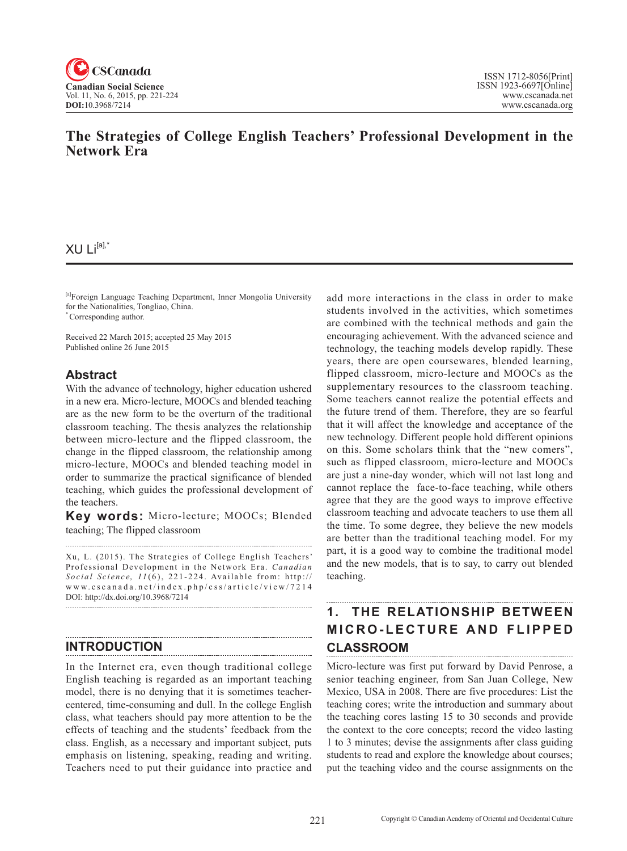

## **The Strategies of College English Teachers' Professional Development in the Network Era**

### XU Li[a],\*

[a]Foreign Language Teaching Department, Inner Mongolia University for the Nationalities, Tongliao, China. \* Corresponding author.

Received 22 March 2015; accepted 25 May 2015 Published online 26 June 2015

### **Abstract**

With the advance of technology, higher education ushered in a new era. Micro-lecture, MOOCs and blended teaching are as the new form to be the overturn of the traditional classroom teaching. The thesis analyzes the relationship between micro-lecture and the flipped classroom, the change in the flipped classroom, the relationship among micro-lecture, MOOCs and blended teaching model in order to summarize the practical significance of blended teaching, which guides the professional development of the teachers.

**Key words:** Micro-lecture; MOOCs; Blended teaching; The flipped classroom

Xu, L. (2015). The Strategies of College English Teachers' Professional Development in the Network Era. *Canadian Social Science*, <sup>11</sup> (6), 221-224 . Available from: http:// www.cscanada.net/index.php/css/article/view/7214 DOI: http://dx.doi.org/10.3968/7214

### **INTRODUCTION**

In the Internet era, even though traditional college English teaching is regarded as an important teaching model, there is no denying that it is sometimes teachercentered, time-consuming and dull. In the college English class, what teachers should pay more attention to be the effects of teaching and the students' feedback from the class. English, as a necessary and important subject, puts emphasis on listening, speaking, reading and writing. Teachers need to put their guidance into practice and

add more interactions in the class in order to make students involved in the activities, which sometimes are combined with the technical methods and gain the encouraging achievement. With the advanced science and technology, the teaching models develop rapidly. These years, there are open coursewares, blended learning, flipped classroom, micro-lecture and MOOCs as the supplementary resources to the classroom teaching. Some teachers cannot realize the potential effects and the future trend of them. Therefore, they are so fearful that it will affect the knowledge and acceptance of the new technology. Different people hold different opinions on this. Some scholars think that the "new comers", such as flipped classroom, micro-lecture and MOOCs are just a nine-day wonder, which will not last long and cannot replace the face-to-face teaching, while others agree that they are the good ways to improve effective classroom teaching and advocate teachers to use them all the time. To some degree, they believe the new models are better than the traditional teaching model. For my part, it is a good way to combine the traditional model and the new models, that is to say, to carry out blended teaching.

### **1. THE RELATIONSHIP BETWEEN MICRO-LECTURE AND FLIPPED CLASSROOM**

Micro-lecture was first put forward by David Penrose, a senior teaching engineer, from San Juan College, New Mexico, USA in 2008. There are five procedures: List the teaching cores; write the introduction and summary about the teaching cores lasting 15 to 30 seconds and provide the context to the core concepts; record the video lasting 1 to 3 minutes; devise the assignments after class guiding students to read and explore the knowledge about courses; put the teaching video and the course assignments on the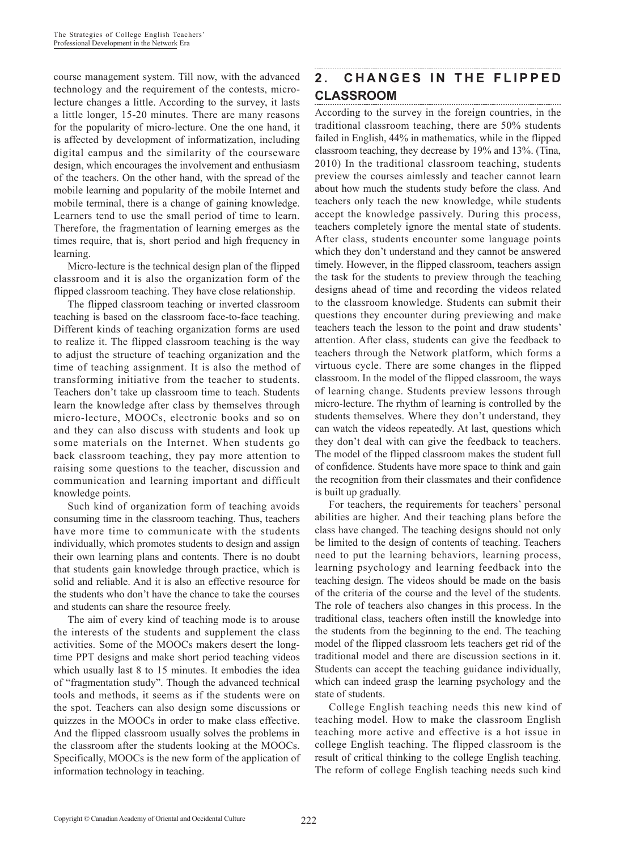course management system. Till now, with the advanced technology and the requirement of the contests, microlecture changes a little. According to the survey, it lasts a little longer, 15-20 minutes. There are many reasons for the popularity of micro-lecture. One the one hand, it is affected by development of informatization, including digital campus and the similarity of the courseware design, which encourages the involvement and enthusiasm of the teachers. On the other hand, with the spread of the mobile learning and popularity of the mobile Internet and mobile terminal, there is a change of gaining knowledge. Learners tend to use the small period of time to learn. Therefore, the fragmentation of learning emerges as the times require, that is, short period and high frequency in learning.

Micro-lecture is the technical design plan of the flipped classroom and it is also the organization form of the flipped classroom teaching. They have close relationship.

The flipped classroom teaching or inverted classroom teaching is based on the classroom face-to-face teaching. Different kinds of teaching organization forms are used to realize it. The flipped classroom teaching is the way to adjust the structure of teaching organization and the time of teaching assignment. It is also the method of transforming initiative from the teacher to students. Teachers don't take up classroom time to teach. Students learn the knowledge after class by themselves through micro-lecture, MOOCs, electronic books and so on and they can also discuss with students and look up some materials on the Internet. When students go back classroom teaching, they pay more attention to raising some questions to the teacher, discussion and communication and learning important and difficult knowledge points.

Such kind of organization form of teaching avoids consuming time in the classroom teaching. Thus, teachers have more time to communicate with the students individually, which promotes students to design and assign their own learning plans and contents. There is no doubt that students gain knowledge through practice, which is solid and reliable. And it is also an effective resource for the students who don't have the chance to take the courses and students can share the resource freely.

The aim of every kind of teaching mode is to arouse the interests of the students and supplement the class activities. Some of the MOOCs makers desert the longtime PPT designs and make short period teaching videos which usually last 8 to 15 minutes. It embodies the idea of "fragmentation study". Though the advanced technical tools and methods, it seems as if the students were on the spot. Teachers can also design some discussions or quizzes in the MOOCs in order to make class effective. And the flipped classroom usually solves the problems in the classroom after the students looking at the MOOCs. Specifically, MOOCs is the new form of the application of information technology in teaching.

# **2. CHANGES IN THE FLIPPED CLASSROOM**

According to the survey in the foreign countries, in the traditional classroom teaching, there are 50% students failed in English, 44% in mathematics, while in the flipped classroom teaching, they decrease by 19% and 13%. (Tina, 2010) In the traditional classroom teaching, students preview the courses aimlessly and teacher cannot learn about how much the students study before the class. And teachers only teach the new knowledge, while students accept the knowledge passively. During this process, teachers completely ignore the mental state of students. After class, students encounter some language points which they don't understand and they cannot be answered timely. However, in the flipped classroom, teachers assign the task for the students to preview through the teaching designs ahead of time and recording the videos related to the classroom knowledge. Students can submit their questions they encounter during previewing and make teachers teach the lesson to the point and draw students' attention. After class, students can give the feedback to teachers through the Network platform, which forms a virtuous cycle. There are some changes in the flipped classroom. In the model of the flipped classroom, the ways of learning change. Students preview lessons through micro-lecture. The rhythm of learning is controlled by the students themselves. Where they don't understand, they can watch the videos repeatedly. At last, questions which they don't deal with can give the feedback to teachers. The model of the flipped classroom makes the student full of confidence. Students have more space to think and gain the recognition from their classmates and their confidence is built up gradually.

For teachers, the requirements for teachers' personal abilities are higher. And their teaching plans before the class have changed. The teaching designs should not only be limited to the design of contents of teaching. Teachers need to put the learning behaviors, learning process, learning psychology and learning feedback into the teaching design. The videos should be made on the basis of the criteria of the course and the level of the students. The role of teachers also changes in this process. In the traditional class, teachers often instill the knowledge into the students from the beginning to the end. The teaching model of the flipped classroom lets teachers get rid of the traditional model and there are discussion sections in it. Students can accept the teaching guidance individually, which can indeed grasp the learning psychology and the state of students.

College English teaching needs this new kind of teaching model. How to make the classroom English teaching more active and effective is a hot issue in college English teaching. The flipped classroom is the result of critical thinking to the college English teaching. The reform of college English teaching needs such kind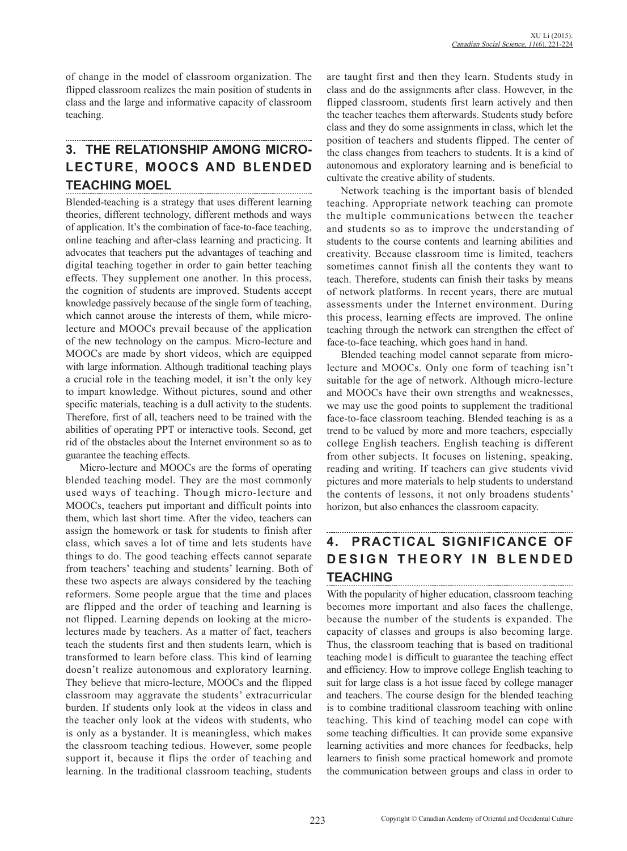of change in the model of classroom organization. The flipped classroom realizes the main position of students in class and the large and informative capacity of classroom teaching.

# **3. THE RELATIONSHIP AMONG MICRO-LECTURE, MOOCS AND BLENDED TEACHING MOEL**

Blended-teaching is a strategy that uses different learning theories, different technology, different methods and ways of application. It's the combination of face-to-face teaching, online teaching and after-class learning and practicing. It advocates that teachers put the advantages of teaching and digital teaching together in order to gain better teaching effects. They supplement one another. In this process, the cognition of students are improved. Students accept knowledge passively because of the single form of teaching, which cannot arouse the interests of them, while microlecture and MOOCs prevail because of the application of the new technology on the campus. Micro-lecture and MOOCs are made by short videos, which are equipped with large information. Although traditional teaching plays a crucial role in the teaching model, it isn't the only key to impart knowledge. Without pictures, sound and other specific materials, teaching is a dull activity to the students. Therefore, first of all, teachers need to be trained with the abilities of operating PPT or interactive tools. Second, get rid of the obstacles about the Internet environment so as to guarantee the teaching effects.

Micro-lecture and MOOCs are the forms of operating blended teaching model. They are the most commonly used ways of teaching. Though micro-lecture and MOOCs, teachers put important and difficult points into them, which last short time. After the video, teachers can assign the homework or task for students to finish after class, which saves a lot of time and lets students have things to do. The good teaching effects cannot separate from teachers' teaching and students' learning. Both of these two aspects are always considered by the teaching reformers. Some people argue that the time and places are flipped and the order of teaching and learning is not flipped. Learning depends on looking at the microlectures made by teachers. As a matter of fact, teachers teach the students first and then students learn, which is transformed to learn before class. This kind of learning doesn't realize autonomous and exploratory learning. They believe that micro-lecture, MOOCs and the flipped classroom may aggravate the students' extracurricular burden. If students only look at the videos in class and the teacher only look at the videos with students, who is only as a bystander. It is meaningless, which makes the classroom teaching tedious. However, some people support it, because it flips the order of teaching and learning. In the traditional classroom teaching, students

are taught first and then they learn. Students study in class and do the assignments after class. However, in the flipped classroom, students first learn actively and then the teacher teaches them afterwards. Students study before class and they do some assignments in class, which let the position of teachers and students flipped. The center of the class changes from teachers to students. It is a kind of autonomous and exploratory learning and is beneficial to cultivate the creative ability of students.

Network teaching is the important basis of blended teaching. Appropriate network teaching can promote the multiple communications between the teacher and students so as to improve the understanding of students to the course contents and learning abilities and creativity. Because classroom time is limited, teachers sometimes cannot finish all the contents they want to teach. Therefore, students can finish their tasks by means of network platforms. In recent years, there are mutual assessments under the Internet environment. During this process, learning effects are improved. The online teaching through the network can strengthen the effect of face-to-face teaching, which goes hand in hand.

Blended teaching model cannot separate from microlecture and MOOCs. Only one form of teaching isn't suitable for the age of network. Although micro-lecture and MOOCs have their own strengths and weaknesses, we may use the good points to supplement the traditional face-to-face classroom teaching. Blended teaching is as a trend to be valued by more and more teachers, especially college English teachers. English teaching is different from other subjects. It focuses on listening, speaking, reading and writing. If teachers can give students vivid pictures and more materials to help students to understand the contents of lessons, it not only broadens students' horizon, but also enhances the classroom capacity.

#### ............................. **4. PRACTICAL SIGNIFICANCE OF DESIGN THEORY IN BLENDED TEACHING**

With the popularity of higher education, classroom teaching becomes more important and also faces the challenge, because the number of the students is expanded. The capacity of classes and groups is also becoming large. Thus, the classroom teaching that is based on traditional teaching mode1 is difficult to guarantee the teaching effect and efficiency. How to improve college English teaching to suit for large class is a hot issue faced by college manager and teachers. The course design for the blended teaching is to combine traditional classroom teaching with online teaching. This kind of teaching model can cope with some teaching difficulties. It can provide some expansive learning activities and more chances for feedbacks, help learners to finish some practical homework and promote the communication between groups and class in order to